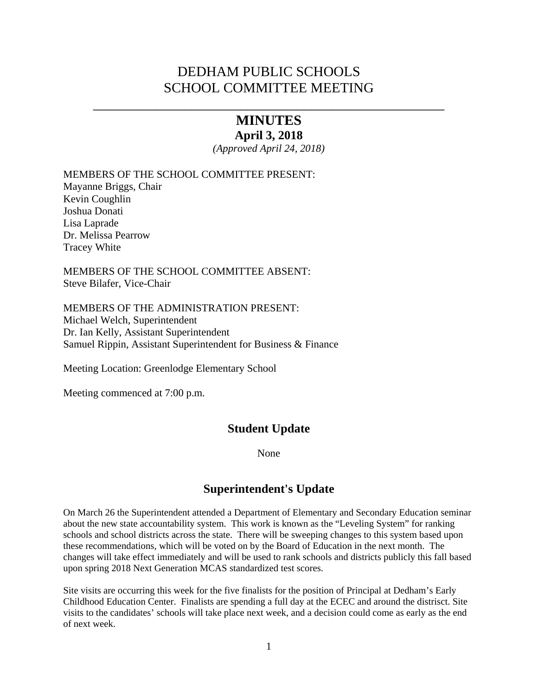# DEDHAM PUBLIC SCHOOLS SCHOOL COMMITTEE MEETING

# \_\_\_\_\_\_\_\_\_\_\_\_\_\_\_\_\_\_\_\_\_\_\_\_\_\_\_\_\_\_\_\_\_\_\_\_\_\_\_\_\_\_\_\_\_\_\_\_\_\_ **MINUTES**

### **April 3, 2018**

*(Approved April 24, 2018)* 

MEMBERS OF THE SCHOOL COMMITTEE PRESENT:

Mayanne Briggs, Chair Kevin Coughlin Joshua Donati Lisa Laprade Dr. Melissa Pearrow Tracey White

MEMBERS OF THE SCHOOL COMMITTEE ABSENT: Steve Bilafer, Vice-Chair

MEMBERS OF THE ADMINISTRATION PRESENT: Michael Welch, Superintendent Dr. Ian Kelly, Assistant Superintendent Samuel Rippin, Assistant Superintendent for Business & Finance

Meeting Location: Greenlodge Elementary School

Meeting commenced at 7:00 p.m.

# **Student Update**

None

# **Superintendent's Update**

On March 26 the Superintendent attended a Department of Elementary and Secondary Education seminar about the new state accountability system. This work is known as the "Leveling System" for ranking schools and school districts across the state. There will be sweeping changes to this system based upon these recommendations, which will be voted on by the Board of Education in the next month. The changes will take effect immediately and will be used to rank schools and districts publicly this fall based upon spring 2018 Next Generation MCAS standardized test scores.

Site visits are occurring this week for the five finalists for the position of Principal at Dedham's Early Childhood Education Center. Finalists are spending a full day at the ECEC and around the distrisct. Site visits to the candidates' schools will take place next week, and a decision could come as early as the end of next week.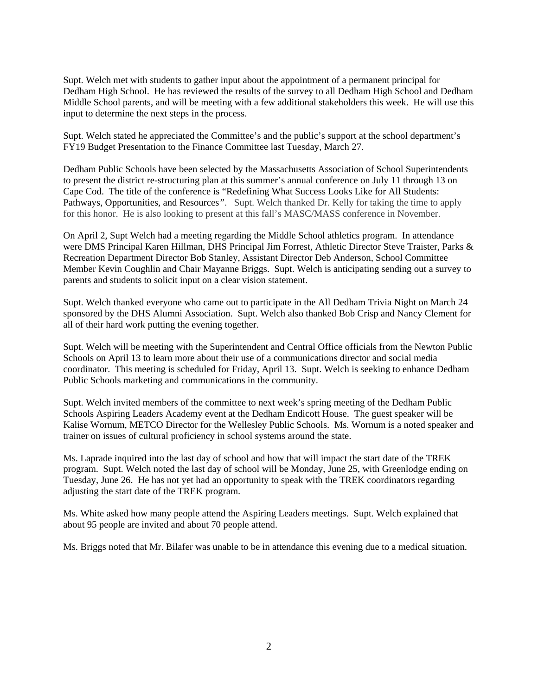Supt. Welch met with students to gather input about the appointment of a permanent principal for Dedham High School. He has reviewed the results of the survey to all Dedham High School and Dedham Middle School parents, and will be meeting with a few additional stakeholders this week. He will use this input to determine the next steps in the process.

Supt. Welch stated he appreciated the Committee's and the public's support at the school department's FY19 Budget Presentation to the Finance Committee last Tuesday, March 27.

Dedham Public Schools have been selected by the Massachusetts Association of School Superintendents to present the district re-structuring plan at this summer's annual conference on July 11 through 13 on Cape Cod. The title of the conference is "Redefining What Success Looks Like for All Students: Pathways, Opportunities, and Resources*"*. Supt. Welch thanked Dr. Kelly for taking the time to apply for this honor. He is also looking to present at this fall's MASC/MASS conference in November.

On April 2, Supt Welch had a meeting regarding the Middle School athletics program. In attendance were DMS Principal Karen Hillman, DHS Principal Jim Forrest, Athletic Director Steve Traister, Parks & Recreation Department Director Bob Stanley, Assistant Director Deb Anderson, School Committee Member Kevin Coughlin and Chair Mayanne Briggs. Supt. Welch is anticipating sending out a survey to parents and students to solicit input on a clear vision statement.

Supt. Welch thanked everyone who came out to participate in the All Dedham Trivia Night on March 24 sponsored by the DHS Alumni Association. Supt. Welch also thanked Bob Crisp and Nancy Clement for all of their hard work putting the evening together.

Supt. Welch will be meeting with the Superintendent and Central Office officials from the Newton Public Schools on April 13 to learn more about their use of a communications director and social media coordinator. This meeting is scheduled for Friday, April 13. Supt. Welch is seeking to enhance Dedham Public Schools marketing and communications in the community.

Supt. Welch invited members of the committee to next week's spring meeting of the Dedham Public Schools Aspiring Leaders Academy event at the Dedham Endicott House. The guest speaker will be [Kalise Wornum,](https://kwdiversityinc.com/) METCO Director for the Wellesley Public Schools. Ms. Wornum is a noted speaker and trainer on issues of cultural proficiency in school systems around the state.

Ms. Laprade inquired into the last day of school and how that will impact the start date of the TREK program. Supt. Welch noted the last day of school will be Monday, June 25, with Greenlodge ending on Tuesday, June 26. He has not yet had an opportunity to speak with the TREK coordinators regarding adjusting the start date of the TREK program.

Ms. White asked how many people attend the Aspiring Leaders meetings. Supt. Welch explained that about 95 people are invited and about 70 people attend.

Ms. Briggs noted that Mr. Bilafer was unable to be in attendance this evening due to a medical situation.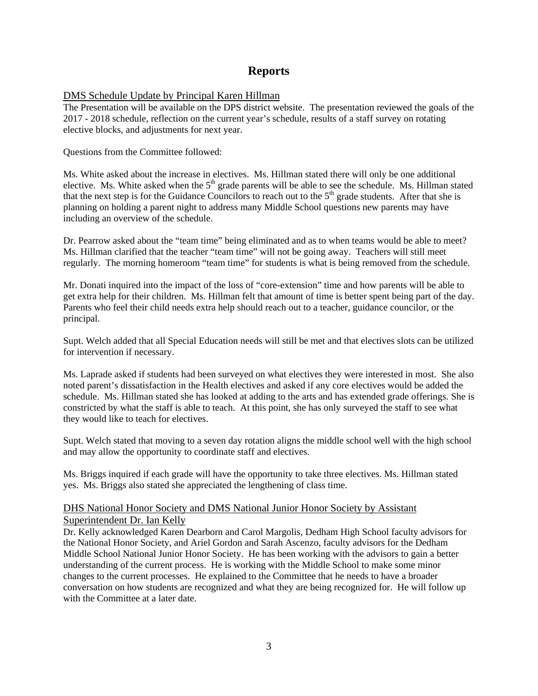# **Reports**

### DMS Schedule Update by Principal Karen Hillman

The Presentation will be available on the DPS district website. The presentation reviewed the goals of the 2017 - 2018 schedule, reflection on the current year's schedule, results of a staff survey on rotating elective blocks, and adjustments for next year.

Questions from the Committee followed:

Ms. White asked about the increase in electives. Ms. Hillman stated there will only be one additional elective. Ms. White asked when the  $5<sup>th</sup>$  grade parents will be able to see the schedule. Ms. Hillman stated that the next step is for the Guidance Councilors to reach out to the  $5<sup>th</sup>$  grade students. After that she is planning on holding a parent night to address many Middle School questions new parents may have including an overview of the schedule.

Dr. Pearrow asked about the "team time" being eliminated and as to when teams would be able to meet? Ms. Hillman clarified that the teacher "team time" will not be going away. Teachers will still meet regularly. The morning homeroom "team time" for students is what is being removed from the schedule.

Mr. Donati inquired into the impact of the loss of "core-extension" time and how parents will be able to get extra help for their children. Ms. Hillman felt that amount of time is better spent being part of the day. Parents who feel their child needs extra help should reach out to a teacher, guidance councilor, or the principal.

Supt. Welch added that all Special Education needs will still be met and that electives slots can be utilized for intervention if necessary.

Ms. Laprade asked if students had been surveyed on what electives they were interested in most. She also noted parent's dissatisfaction in the Health electives and asked if any core electives would be added the schedule. Ms. Hillman stated she has looked at adding to the arts and has extended grade offerings. She is constricted by what the staff is able to teach. At this point, she has only surveyed the staff to see what they would like to teach for electives.

Supt. Welch stated that moving to a seven day rotation aligns the middle school well with the high school and may allow the opportunity to coordinate staff and electives.

Ms. Briggs inquired if each grade will have the opportunity to take three electives. Ms. Hillman stated yes. Ms. Briggs also stated she appreciated the lengthening of class time.

### DHS National Honor Society and DMS National Junior Honor Society by Assistant Superintendent Dr. Ian Kelly

Dr. Kelly acknowledged Karen Dearborn and Carol Margolis, Dedham High School faculty advisors for the National Honor Society, and Ariel Gordon and Sarah Ascenzo, faculty advisors for the Dedham Middle School National Junior Honor Society. He has been working with the advisors to gain a better understanding of the current process. He is working with the Middle School to make some minor changes to the current processes. He explained to the Committee that he needs to have a broader conversation on how students are recognized and what they are being recognized for. He will follow up with the Committee at a later date.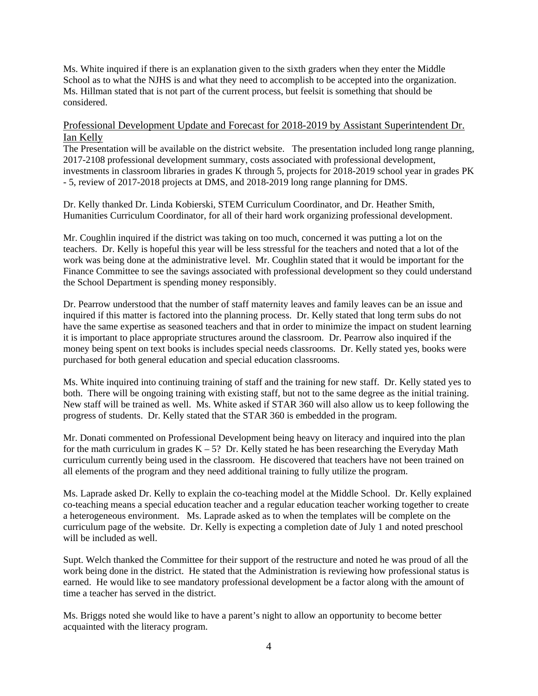Ms. White inquired if there is an explanation given to the sixth graders when they enter the Middle School as to what the NJHS is and what they need to accomplish to be accepted into the organization. Ms. Hillman stated that is not part of the current process, but feelsit is something that should be considered.

### Professional Development Update and Forecast for 2018-2019 by Assistant Superintendent Dr. Ian Kelly

The Presentation will be available on the district website. The presentation included long range planning, 2017-2108 professional development summary, costs associated with professional development, investments in classroom libraries in grades K through 5, projects for 2018-2019 school year in grades PK - 5, review of 2017-2018 projects at DMS, and 2018-2019 long range planning for DMS.

Dr. Kelly thanked Dr. Linda Kobierski, STEM Curriculum Coordinator, and Dr. Heather Smith, Humanities Curriculum Coordinator, for all of their hard work organizing professional development.

Mr. Coughlin inquired if the district was taking on too much, concerned it was putting a lot on the teachers. Dr. Kelly is hopeful this year will be less stressful for the teachers and noted that a lot of the work was being done at the administrative level. Mr. Coughlin stated that it would be important for the Finance Committee to see the savings associated with professional development so they could understand the School Department is spending money responsibly.

Dr. Pearrow understood that the number of staff maternity leaves and family leaves can be an issue and inquired if this matter is factored into the planning process. Dr. Kelly stated that long term subs do not have the same expertise as seasoned teachers and that in order to minimize the impact on student learning it is important to place appropriate structures around the classroom. Dr. Pearrow also inquired if the money being spent on text books is includes special needs classrooms. Dr. Kelly stated yes, books were purchased for both general education and special education classrooms.

Ms. White inquired into continuing training of staff and the training for new staff. Dr. Kelly stated yes to both. There will be ongoing training with existing staff, but not to the same degree as the initial training. New staff will be trained as well. Ms. White asked if STAR 360 will also allow us to keep following the progress of students. Dr. Kelly stated that the STAR 360 is embedded in the program.

Mr. Donati commented on Professional Development being heavy on literacy and inquired into the plan for the math curriculum in grades  $K - 5$ ? Dr. Kelly stated he has been researching the Everyday Math curriculum currently being used in the classroom. He discovered that teachers have not been trained on all elements of the program and they need additional training to fully utilize the program.

Ms. Laprade asked Dr. Kelly to explain the co-teaching model at the Middle School. Dr. Kelly explained co-teaching means a special education teacher and a regular education teacher working together to create a heterogeneous environment. Ms. Laprade asked as to when the templates will be complete on the curriculum page of the website. Dr. Kelly is expecting a completion date of July 1 and noted preschool will be included as well.

Supt. Welch thanked the Committee for their support of the restructure and noted he was proud of all the work being done in the district. He stated that the Administration is reviewing how professional status is earned. He would like to see mandatory professional development be a factor along with the amount of time a teacher has served in the district.

Ms. Briggs noted she would like to have a parent's night to allow an opportunity to become better acquainted with the literacy program.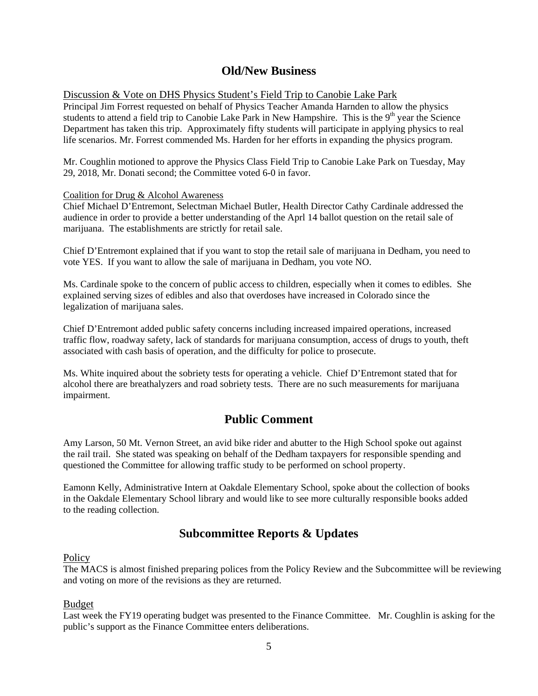# **Old/New Business**

Discussion & Vote on DHS Physics Student's Field Trip to Canobie Lake Park

Principal Jim Forrest requested on behalf of Physics Teacher Amanda Harnden to allow the physics students to attend a field trip to Canobie Lake Park in New Hampshire. This is the 9<sup>th</sup> year the Science Department has taken this trip. Approximately fifty students will participate in applying physics to real life scenarios. Mr. Forrest commended Ms. Harden for her efforts in expanding the physics program.

Mr. Coughlin motioned to approve the Physics Class Field Trip to Canobie Lake Park on Tuesday, May 29, 2018, Mr. Donati second; the Committee voted 6-0 in favor.

### Coalition for Drug & Alcohol Awareness

Chief Michael D'Entremont, Selectman Michael Butler, Health Director Cathy Cardinale addressed the audience in order to provide a better understanding of the Aprl 14 ballot question on the retail sale of marijuana. The establishments are strictly for retail sale.

Chief D'Entremont explained that if you want to stop the retail sale of marijuana in Dedham, you need to vote YES. If you want to allow the sale of marijuana in Dedham, you vote NO.

Ms. Cardinale spoke to the concern of public access to children, especially when it comes to edibles. She explained serving sizes of edibles and also that overdoses have increased in Colorado since the legalization of marijuana sales.

Chief D'Entremont added public safety concerns including increased impaired operations, increased traffic flow, roadway safety, lack of standards for marijuana consumption, access of drugs to youth, theft associated with cash basis of operation, and the difficulty for police to prosecute.

Ms. White inquired about the sobriety tests for operating a vehicle. Chief D'Entremont stated that for alcohol there are breathalyzers and road sobriety tests. There are no such measurements for marijuana impairment.

# **Public Comment**

Amy Larson, 50 Mt. Vernon Street, an avid bike rider and abutter to the High School spoke out against the rail trail. She stated was speaking on behalf of the Dedham taxpayers for responsible spending and questioned the Committee for allowing traffic study to be performed on school property.

Eamonn Kelly, Administrative Intern at Oakdale Elementary School, spoke about the collection of books in the Oakdale Elementary School library and would like to see more culturally responsible books added to the reading collection.

# **Subcommittee Reports & Updates**

### **Policy**

The MACS is almost finished preparing polices from the Policy Review and the Subcommittee will be reviewing and voting on more of the revisions as they are returned.

### Budget

Last week the FY19 operating budget was presented to the Finance Committee. Mr. Coughlin is asking for the public's support as the Finance Committee enters deliberations.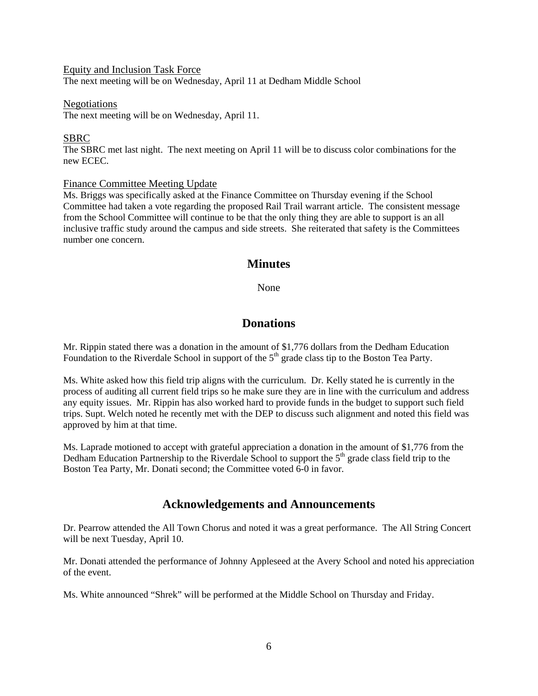#### Equity and Inclusion Task Force

The next meeting will be on Wednesday, April 11 at Dedham Middle School

#### Negotiations

The next meeting will be on Wednesday, April 11.

### SBRC

The SBRC met last night. The next meeting on April 11 will be to discuss color combinations for the new ECEC.

### Finance Committee Meeting Update

Ms. Briggs was specifically asked at the Finance Committee on Thursday evening if the School Committee had taken a vote regarding the proposed Rail Trail warrant article. The consistent message from the School Committee will continue to be that the only thing they are able to support is an all inclusive traffic study around the campus and side streets. She reiterated that safety is the Committees number one concern.

## **Minutes**

None

## **Donations**

Mr. Rippin stated there was a donation in the amount of \$1,776 dollars from the Dedham Education Foundation to the Riverdale School in support of the  $5<sup>th</sup>$  grade class tip to the Boston Tea Party.

Ms. White asked how this field trip aligns with the curriculum. Dr. Kelly stated he is currently in the process of auditing all current field trips so he make sure they are in line with the curriculum and address any equity issues. Mr. Rippin has also worked hard to provide funds in the budget to support such field trips. Supt. Welch noted he recently met with the DEP to discuss such alignment and noted this field was approved by him at that time.

Ms. Laprade motioned to accept with grateful appreciation a donation in the amount of \$1,776 from the Dedham Education Partnership to the Riverdale School to support the  $5<sup>th</sup>$  grade class field trip to the Boston Tea Party, Mr. Donati second; the Committee voted 6-0 in favor.

### **Acknowledgements and Announcements**

Dr. Pearrow attended the All Town Chorus and noted it was a great performance. The All String Concert will be next Tuesday, April 10.

Mr. Donati attended the performance of Johnny Appleseed at the Avery School and noted his appreciation of the event.

Ms. White announced "Shrek" will be performed at the Middle School on Thursday and Friday.